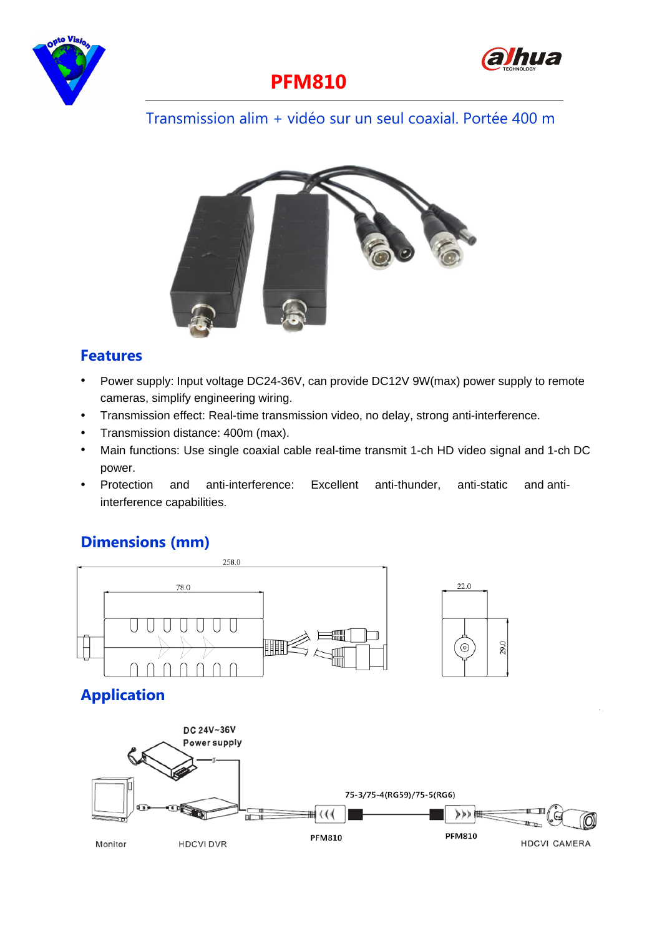



## **PFM810**

#### Transmission alim + vidéo sur un seul coaxial. Portée 400 m



#### **Features**

- $\bullet$ Power supply: Input voltage DC24-36V, can provide DC12V 9W(max) power supply to remote cameras, simplify engineering wiring.
- $\bullet$ Transmission effect: Real-time transmission video, no delay, strong anti-interference.
- $\bullet$  . Transmission distance: 400m (max).
- Main functions: Use single coaxial cable real-time transmit 1-ch HD video signal and 1-ch DC power.
- $\bullet$ Protection and anti-interference: Excellent anti-thunder, anti-static and antiinterference capabilities.

#### **Dimensions (mm)**

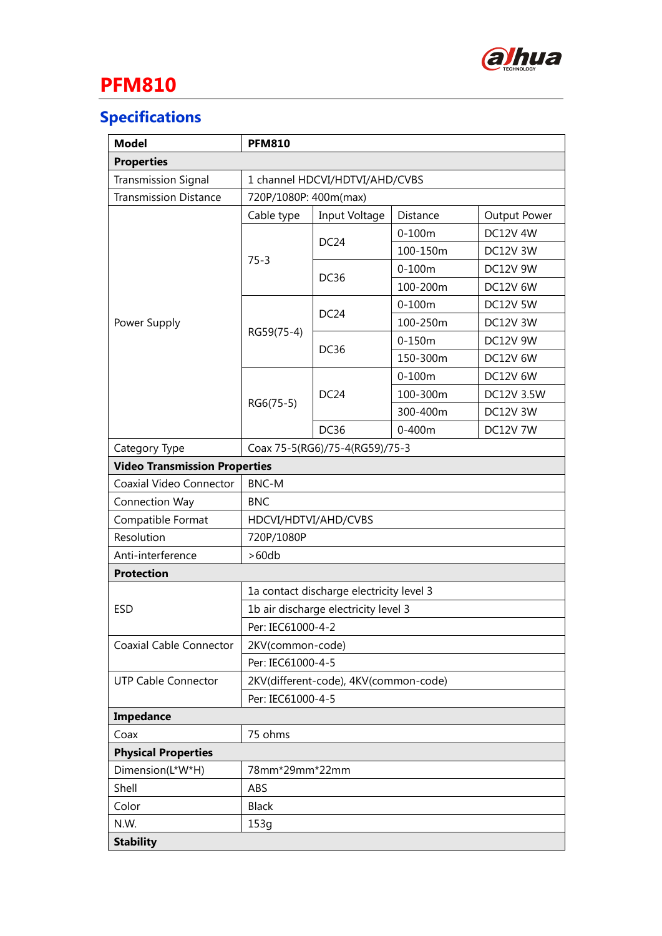

# **PFM810**

### **Specifications**

| <b>Model</b>                         | <b>PFM810</b>                            |                  |            |                 |  |
|--------------------------------------|------------------------------------------|------------------|------------|-----------------|--|
| <b>Properties</b>                    |                                          |                  |            |                 |  |
| <b>Transmission Signal</b>           | 1 channel HDCVI/HDTVI/AHD/CVBS           |                  |            |                 |  |
| <b>Transmission Distance</b>         | 720P/1080P: 400m(max)                    |                  |            |                 |  |
|                                      | Cable type                               | Input Voltage    | Distance   | Output Power    |  |
| Power Supply                         | $75 - 3$                                 | DC <sub>24</sub> | $0-100m$   | <b>DC12V 4W</b> |  |
|                                      |                                          |                  | 100-150m   | DC12V 3W        |  |
|                                      |                                          | <b>DC36</b>      | $0-100m$   | <b>DC12V 9W</b> |  |
|                                      |                                          |                  | 100-200m   | <b>DC12V 6W</b> |  |
|                                      | RG59(75-4)                               | DC <sub>24</sub> | $0 - 100m$ | DC12V 5W        |  |
|                                      |                                          |                  | 100-250m   | DC12V 3W        |  |
|                                      |                                          | <b>DC36</b>      | $0-150m$   | <b>DC12V 9W</b> |  |
|                                      |                                          |                  | 150-300m   | DC12V 6W        |  |
|                                      | RG6(75-5)                                | DC <sub>24</sub> | $0 - 100m$ | <b>DC12V 6W</b> |  |
|                                      |                                          |                  | 100-300m   | DC12V 3.5W      |  |
|                                      |                                          |                  | 300-400m   | DC12V 3W        |  |
|                                      |                                          | DC36             | $0 - 400m$ | <b>DC12V 7W</b> |  |
| Category Type                        | Coax 75-5(RG6)/75-4(RG59)/75-3           |                  |            |                 |  |
| <b>Video Transmission Properties</b> |                                          |                  |            |                 |  |
| Coaxial Video Connector              | <b>BNC-M</b>                             |                  |            |                 |  |
| Connection Way                       | <b>BNC</b>                               |                  |            |                 |  |
| Compatible Format                    | HDCVI/HDTVI/AHD/CVBS                     |                  |            |                 |  |
| Resolution                           | 720P/1080P                               |                  |            |                 |  |
| Anti-interference                    | >60db                                    |                  |            |                 |  |
| <b>Protection</b>                    |                                          |                  |            |                 |  |
| <b>ESD</b>                           | 1a contact discharge electricity level 3 |                  |            |                 |  |
|                                      | 1b air discharge electricity level 3     |                  |            |                 |  |
|                                      | Per: IEC61000-4-2                        |                  |            |                 |  |
| <b>Coaxial Cable Connector</b>       | 2KV(common-code)                         |                  |            |                 |  |
|                                      | Per: IEC61000-4-5                        |                  |            |                 |  |
| <b>UTP Cable Connector</b>           | 2KV(different-code), 4KV(common-code)    |                  |            |                 |  |
|                                      | Per: IEC61000-4-5                        |                  |            |                 |  |
| Impedance                            |                                          |                  |            |                 |  |
| Coax                                 | 75 ohms                                  |                  |            |                 |  |
| <b>Physical Properties</b>           |                                          |                  |            |                 |  |
| Dimension(L*W*H)                     | 78mm*29mm*22mm                           |                  |            |                 |  |
| Shell                                | ABS                                      |                  |            |                 |  |
| Color                                | <b>Black</b>                             |                  |            |                 |  |
| N.W.                                 | 153g                                     |                  |            |                 |  |
| <b>Stability</b>                     |                                          |                  |            |                 |  |